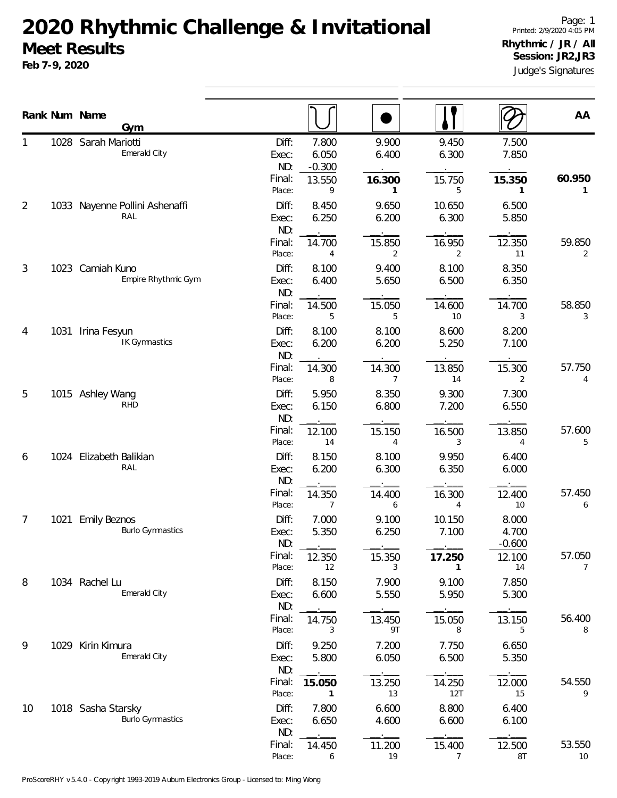## **2020 Rhythmic Challenge & Invitational Meet Results**

**Feb 7-9, 2020**

Judge's Signatures Page: 1 Printed: 2/9/2020 4:05 PM **Rhythmic / JR / All Session: JR2,JR3**

|                |      | Rank Num Name<br><b>Gym</b>                    |                           |                            |                          |                          |                            | AA                       |
|----------------|------|------------------------------------------------|---------------------------|----------------------------|--------------------------|--------------------------|----------------------------|--------------------------|
|                |      | 1028 Sarah Mariotti<br>Emerald City            | Diff:<br>Exec:<br>ND:     | 7.800<br>6.050<br>$-0.300$ | 9.900<br>6.400           | 9.450<br>6.300           | 7.500<br>7.850             |                          |
| $\overline{2}$ |      | 1033 Nayenne Pollini Ashenaffi                 | Final:<br>Place:<br>Diff: | 13.550<br>9<br>8.450       | 16.300<br>1<br>9.650     | 15.750<br>5<br>10.650    | 15.350<br>1<br>6.500       | 60.950<br>$\mathbf{1}$   |
|                |      | RAL                                            | Exec:<br>ND:              | 6.250                      | 6.200                    | 6.300                    | 5.850                      |                          |
| 3<br>4         |      | 1023 Camiah Kuno                               | Final:<br>Place:<br>Diff: | 14.700<br>4<br>8.100       | 15.850<br>2<br>9.400     | 16.950<br>2<br>8.100     | 12.350<br>11<br>8.350      | 59.850<br>2              |
|                |      | Empire Rhythmic Gym                            | Exec:<br>ND:              | 6.400                      | 5.650                    | 6.500                    | 6.350                      |                          |
|                | 1031 | Irina Fesyun                                   | Final:<br>Place:<br>Diff: | 14.500<br>5<br>8.100       | 15.050<br>5<br>8.100     | 14.600<br>10<br>8.600    | 14.700<br>3<br>8.200       | 58.850<br>3              |
|                |      | IK Gymnastics                                  | Exec:<br>ND:              | 6.200                      | 6.200                    | 5.250                    | 7.100                      |                          |
|                |      |                                                | Final:<br>Place:          | 14.300<br>8                | 14.300<br>$\overline{7}$ | 13.850<br>14             | 15.300<br>2                | 57.750<br>4              |
| 5              |      | 1015 Ashley Wang<br><b>RHD</b>                 | Diff:<br>Exec:<br>ND:     | 5.950<br>6.150             | 8.350<br>6.800           | 9.300<br>7.200           | 7.300<br>6.550             |                          |
|                |      |                                                | Final:<br>Place:          | 12.100<br>14               | 15.150<br>4              | 16.500<br>3              | 13.850<br>4                | 57.600<br>5              |
| 6              |      | 1024 Elizabeth Balikian<br>RAL                 | Diff:<br>Exec:<br>ND:     | 8.150<br>6.200             | 8.100<br>6.300           | 9.950<br>6.350           | 6.400<br>6.000             |                          |
|                |      |                                                | Final:<br>Place:          | 14.350<br>7                | 14.400<br>6              | 16.300<br>4              | 12.400<br>10               | 57.450<br>6              |
| 7              | 1021 | <b>Emily Beznos</b><br><b>Burlo Gymnastics</b> | Diff:<br>Exec:<br>ND:     | 7.000<br>5.350             | 9.100<br>6.250           | 10.150<br>7.100          | 8.000<br>4.700<br>$-0.600$ |                          |
|                |      |                                                | Final:<br>Place:          | 12.350<br>12               | 15.350<br>3              | 17.250<br>1              | 12.100<br>14               | 57.050<br>$\overline{7}$ |
| 8              |      | 1034 Rachel Lu<br>Emerald City                 | Diff:<br>Exec:<br>ND:     | 8.150<br>6.600             | 7.900<br>5.550           | 9.100<br>5.950           | 7.850<br>5.300             |                          |
|                |      |                                                | Final:<br>Place:          | 14.750<br>3                | 13.450<br>9T             | 15.050<br>8              | 13.150<br>5                | 56.400<br>8              |
| 9              |      | 1029 Kirin Kimura<br>Emerald City              | Diff:<br>Exec:<br>ND:     | 9.250<br>5.800             | 7.200<br>6.050           | 7.750<br>6.500           | 6.650<br>5.350             |                          |
|                |      |                                                | Final:<br>Place:          | 15.050<br>1                | 13.250<br>13             | 14.250<br>12T            | 12.000<br>15               | 54.550<br>9              |
| 10             |      | 1018 Sasha Starsky<br><b>Burlo Gymnastics</b>  | Diff:<br>Exec:<br>ND:     | 7.800<br>6.650             | 6.600<br>4.600           | 8.800<br>6.600           | 6.400<br>6.100             |                          |
|                |      |                                                | Final:<br>Place:          | 14.450<br>6                | 11.200<br>19             | 15.400<br>$\overline{7}$ | 12.500<br>$8\mathsf{T}$    | 53.550<br>10             |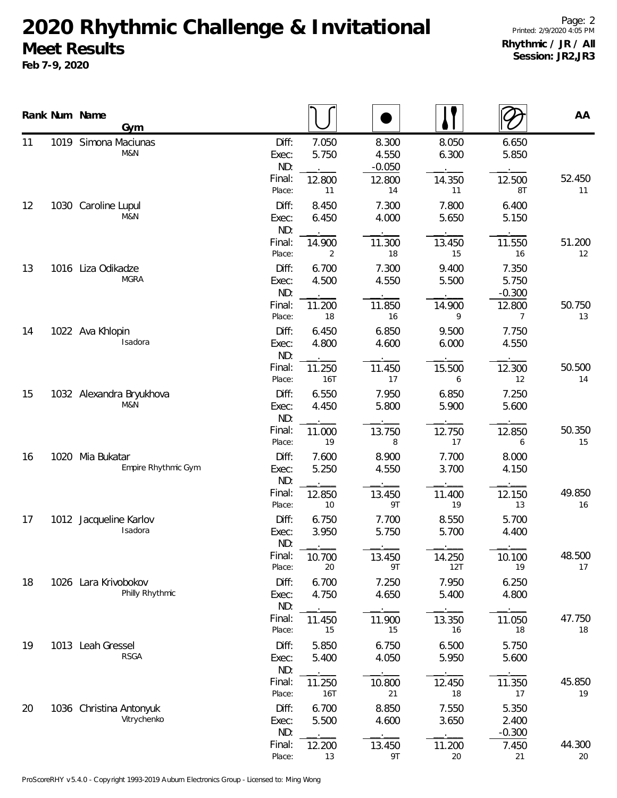## **2020 Rhythmic Challenge & Invitational Meet Results**

**Feb 7-9, 2020**

**Num Name**

11

12

13

14

15

16

17

18

19

20

|      | Num Name<br>Gym                         |                       |                |                            |                |                            | AA           |
|------|-----------------------------------------|-----------------------|----------------|----------------------------|----------------|----------------------------|--------------|
|      | 1019 Simona Maciunas<br>M&N             | Diff:<br>Exec:<br>ND: | 7.050<br>5.750 | 8.300<br>4.550<br>$-0.050$ | 8.050<br>6.300 | 6.650<br>5.850             |              |
|      |                                         | Final:<br>Place:      | 12.800<br>11   | 12.800<br>14               | 14.350<br>11   | 12.500<br>8T               | 52.450<br>11 |
|      | 1030 Caroline Lupul<br>M&N              | Diff:<br>Exec:<br>ND: | 8.450<br>6.450 | 7.300<br>4.000             | 7.800<br>5.650 | 6.400<br>5.150             |              |
|      |                                         | Final:<br>Place:      | 14.900<br>2    | 11.300<br>18               | 13.450<br>15   | 11.550<br>16               | 51.200<br>12 |
|      | 1016 Liza Odikadze<br><b>MGRA</b>       | Diff:<br>Exec:<br>ND: | 6.700<br>4.500 | 7.300<br>4.550             | 9.400<br>5.500 | 7.350<br>5.750<br>$-0.300$ |              |
|      |                                         | Final:<br>Place:      | 11.200<br>18   | 11.850<br>16               | 14.900<br>9    | 12.800<br>7                | 50.750<br>13 |
|      | 1022 Ava Khlopin<br>Isadora             | Diff:<br>Exec:<br>ND: | 6.450<br>4.800 | 6.850<br>4.600             | 9.500<br>6.000 | 7.750<br>4.550             |              |
|      |                                         | Final:<br>Place:      | 11.250<br>16T  | 11.450<br>17               | 15.500<br>6    | 12.300<br>12               | 50.500<br>14 |
|      | 1032 Alexandra Bryukhova<br>M&N         | Diff:<br>Exec:<br>ND: | 6.550<br>4.450 | 7.950<br>5.800             | 6.850<br>5.900 | 7.250<br>5.600             |              |
|      |                                         | Final:<br>Place:      | 11.000<br>19   | 13.750<br>8                | 12.750<br>17   | 12.850<br>6                | 50.350<br>15 |
| 1020 | Mia Bukatar<br>Empire Rhythmic Gym      | Diff:<br>Exec:<br>ND: | 7.600<br>5.250 | 8.900<br>4.550             | 7.700<br>3.700 | 8.000<br>4.150             |              |
|      |                                         | Final:<br>Place:      | 12.850<br>10   | 13.450<br>9T               | 11.400<br>19   | 12.150<br>13               | 49.850<br>16 |
|      | 1012 Jacqueline Karlov<br>Isadora       | Diff:<br>Exec:<br>ND: | 6.750<br>3.950 | 7.700<br>5.750             | 8.550<br>5.700 | 5.700<br>4.400             |              |
|      |                                         | Final:<br>Place:      | 10.700<br>20   | 13.450<br>9T               | 14.250<br>12T  | 10.100<br>19               | 48.500<br>17 |
|      | 1026 Lara Krivobokov<br>Philly Rhythmic | Diff:<br>Exec:<br>ND: | 6.700<br>4.750 | 7.250<br>4.650             | 7.950<br>5.400 | 6.250<br>4.800             |              |
|      |                                         | Final:<br>Place:      | 11.450<br>15   | 11.900<br>15               | 13.350<br>16   | 11.050<br>18               | 47.750<br>18 |
|      | 1013 Leah Gressel<br><b>RSGA</b>        | Diff:<br>Exec:<br>ND: | 5.850<br>5.400 | 6.750<br>4.050             | 6.500<br>5.950 | 5.750<br>5.600             |              |
|      |                                         | Final:<br>Place:      | 11.250<br>16T  | 10.800<br>21               | 12.450<br>18   | 11.350<br>17               | 45.850<br>19 |
|      | 1036 Christina Antonyuk<br>Vitrychenko  | Diff:<br>Exec:<br>ND: | 6.700<br>5.500 | 8.850<br>4.600             | 7.550<br>3.650 | 5.350<br>2.400<br>$-0.300$ |              |
|      |                                         | Final:                | 12.200         | 13.450                     | 11.200         | 7.450                      | 44.300       |

Place: 13 9T 20 21 20